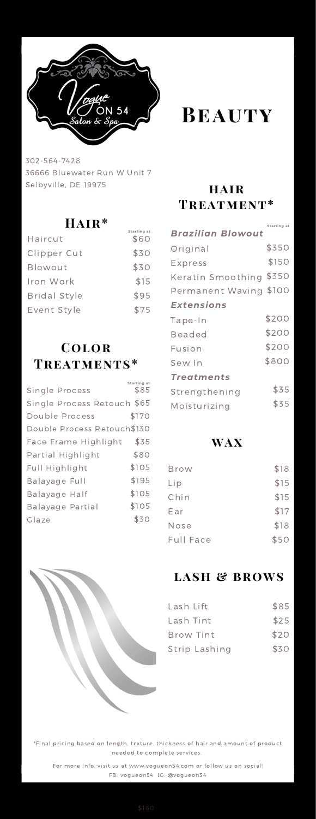

302-564-7428 36666 Bluewater Run W Unit 7 Selbyville, DE 19975

## **Hair\***

**Starting at**

| Haircut             | \$60 |
|---------------------|------|
| Clipper Cut         | \$30 |
| Blowout             | \$30 |
| Iron Work           | \$15 |
| <b>Bridal Style</b> | \$95 |
| Event Style         | \$75 |

# **Color Treatments\***

| Single Process              | Starting at<br>\$85 |
|-----------------------------|---------------------|
| Single Process Retouch \$65 |                     |
| Double Process              | \$170               |
| Double Process Retouch\$130 |                     |
| Face Frame Highlight        | \$35                |
| Partial Highlight           | \$80                |
| Full Highlight              | \$105               |
| Balayage Full               | \$195               |
| Balayage Half               | \$105               |
| Balayage Partial            | \$105               |
| Glaze                       | \$30                |
|                             |                     |



## **hair Treatment\***

|                         | Starting at |
|-------------------------|-------------|
| Brazilian Blowout       |             |
| Original                | \$350       |
| Express                 | \$150       |
| Keratin Smoothing \$350 |             |
| Permanent Waving \$100  |             |
| <b>Extensions</b>       |             |
| Tape-In                 | \$200       |
| <b>Beaded</b>           | \$200       |
| Fusion                  | \$200       |
| Sew In                  | \$800       |
| Treatments              |             |
| Strengthening           | \$35        |
| Moisturizing            | \$35        |

## **wax**

| Brow      | \$18 |
|-----------|------|
| Lip       | \$15 |
| Chin      | \$15 |
| Ear       | \$17 |
| Nose      | \$18 |
| Full Face | \$50 |
|           |      |



## **lash & brows**

| Lash Lift        | \$85 |
|------------------|------|
| Lash Tint        | \$25 |
| <b>Brow Tint</b> | \$20 |
| Strip Lashing    | \$30 |

\*Final pricing based on length, texture, thickness of hair and amount of product needed to complete services.

For more info, visit us at www.vogueon54.com or follow us on social! FB: vogueon54 IG: @vogueon54